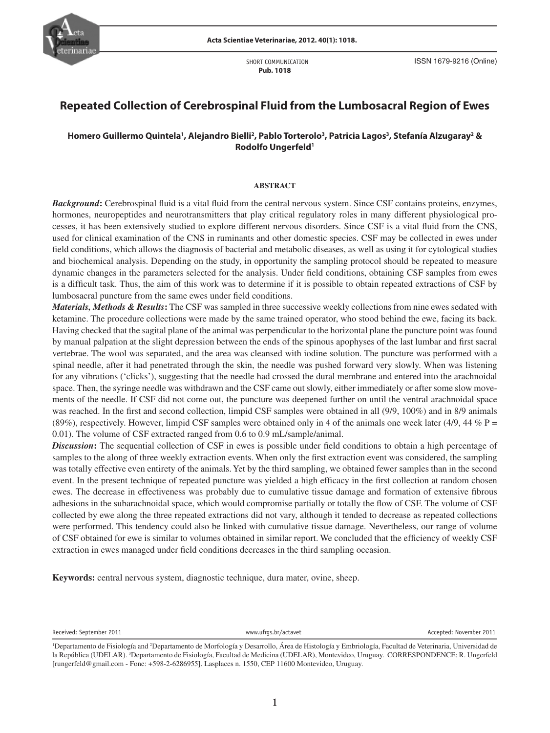

 SHORT COMMUNICATION **Pub. 1018**

# **Repeated Collection of Cerebrospinal Fluid from the Lumbosacral Region of Ewes**

# **Homero Guillermo Quintela1 , Alejandro Bielli2 , Pablo Torterolo3 , Patricia Lagos3 , Stefanía Alzugaray2 & Rodolfo Ungerfeld1**

#### **ABSTRACT**

**Background:** Cerebrospinal fluid is a vital fluid from the central nervous system. Since CSF contains proteins, enzymes, hormones, neuropeptides and neurotransmitters that play critical regulatory roles in many different physiological processes, it has been extensively studied to explore different nervous disorders. Since CSF is a vital fluid from the CNS, used for clinical examination of the CNS in ruminants and other domestic species. CSF may be collected in ewes under field conditions, which allows the diagnosis of bacterial and metabolic diseases, as well as using it for cytological studies and biochemical analysis. Depending on the study, in opportunity the sampling protocol should be repeated to measure dynamic changes in the parameters selected for the analysis. Under field conditions, obtaining CSF samples from ewes is a difficult task. Thus, the aim of this work was to determine if it is possible to obtain repeated extractions of CSF by lumbosacral puncture from the same ewes under field conditions.

for any vibrations ('clicks'), suggesting that the needle had crossed the dural membrane and entered into the arachnoidal *Materials, Methods & Results***:** The CSF was sampled in three successive weekly collections from nine ewes sedated with ketamine. The procedure collections were made by the same trained operator, who stood behind the ewe, facing its back. Having checked that the sagital plane of the animal was perpendicular to the horizontal plane the puncture point was found by manual palpation at the slight depression between the ends of the spinous apophyses of the last lumbar and first sacral vertebrae. The wool was separated, and the area was cleansed with iodine solution. The puncture was performed with a spinal needle, after it had penetrated through the skin, the needle was pushed forward very slowly. When was listening space. Then, the syringe needle was withdrawn and the CSF came out slowly, either immediately or after some slow movements of the needle. If CSF did not come out, the puncture was deepened further on until the ventral arachnoidal space was reached. In the first and second collection, limpid CSF samples were obtained in all (9/9, 100%) and in 8/9 animals (89%), respectively. However, limpid CSF samples were obtained only in 4 of the animals one week later (4/9, 44 % P = 0.01). The volume of CSF extracted ranged from 0.6 to 0.9 mL/sample/animal.

**Discussion:** The sequential collection of CSF in ewes is possible under field conditions to obtain a high percentage of samples to the along of three weekly extraction events. When only the first extraction event was considered, the sampling was totally effective even entirety of the animals. Yet by the third sampling, we obtained fewer samples than in the second event. In the present technique of repeated puncture was yielded a high efficacy in the first collection at random chosen ewes. The decrease in effectiveness was probably due to cumulative tissue damage and formation of extensive fibrous adhesions in the subarachnoidal space, which would compromise partially or totally the flow of CSF. The volume of CSF collected by ewe along the three repeated extractions did not vary, although it tended to decrease as repeated collections were performed. This tendency could also be linked with cumulative tissue damage. Nevertheless, our range of volume of CSF obtained for ewe is similar to volumes obtained in similar report. We concluded that the efficiency of weekly CSF extraction in ewes managed under field conditions decreases in the third sampling occasion.

**Keywords:** central nervous system, diagnostic technique, dura mater, ovine, sheep.

Received: September 2011 **WWW.ufrgs.br/actavet** Accepted: November 2011 and Received: November 2011

<sup>&</sup>lt;sup>1</sup>Departamento de Fisiología and <sup>2</sup>Departamento de Morfología y Desarrollo, Área de Histología y Embriología, Facultad de Veterinaria, Universidad de la República (UDELAR). <sup>3</sup>Departamento de Fisiología, Facultad de Medicina (UDELAR), Montevideo, Uruguay. CORRESPONDENCE: R. Ungerfeld [rungerfeld@gmail.com - Fone: +598-2-6286955]. Lasplaces n. 1550, CEP 11600 Montevideo, Uruguay.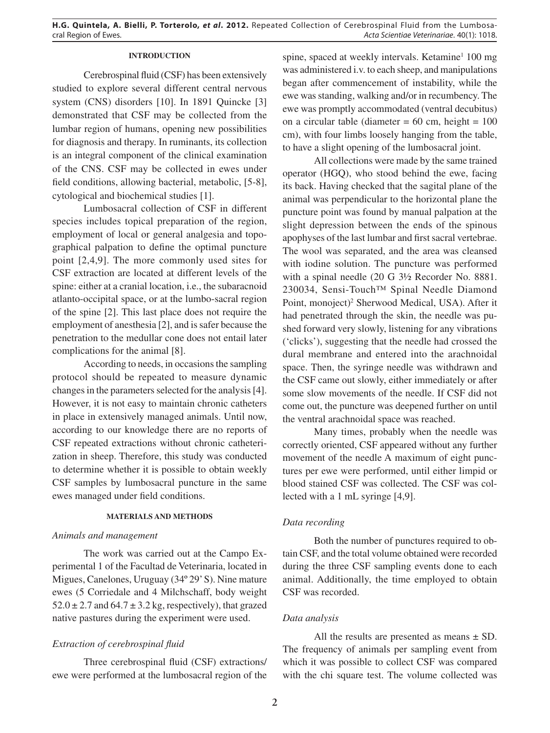## **INTRODUCTION**

Cerebrospinal fluid (CSF) has been extensively studied to explore several different central nervous system (CNS) disorders [10]. In 1891 Quincke [3] demonstrated that CSF may be collected from the lumbar region of humans, opening new possibilities for diagnosis and therapy. In ruminants, its collection is an integral component of the clinical examination of the CNS. CSF may be collected in ewes under field conditions, allowing bacterial, metabolic, [5-8], cytological and biochemical studies [1].

Lumbosacral collection of CSF in different species includes topical preparation of the region, employment of local or general analgesia and topographical palpation to define the optimal puncture point [2,4,9]. The more commonly used sites for CSF extraction are located at different levels of the spine: either at a cranial location, i.e., the subaracnoid atlanto-occipital space, or at the lumbo-sacral region of the spine [2]. This last place does not require the employment of anesthesia [2], and is safer because the penetration to the medullar cone does not entail later complications for the animal [8].

According to needs, in occasions the sampling protocol should be repeated to measure dynamic changes in the parameters selected for the analysis [4]. However, it is not easy to maintain chronic catheters in place in extensively managed animals. Until now, according to our knowledge there are no reports of CSF repeated extractions without chronic catheterization in sheep. Therefore, this study was conducted to determine whether it is possible to obtain weekly CSF samples by lumbosacral puncture in the same ewes managed under field conditions.

#### **MATERIALS AND METHODS**

### *Animals and management*

The work was carried out at the Campo Experimental 1 of the Facultad de Veterinaria, located in Migues, Canelones, Uruguay (34º 29' S). Nine mature ewes (5 Corriedale and 4 Milchschaff, body weight  $52.0 \pm 2.7$  and  $64.7 \pm 3.2$  kg, respectively), that grazed native pastures during the experiment were used.

### *Extraction of cerebrospinal fluid*

Three cerebrospinal fluid (CSF) extractions/ ewe were performed at the lumbosacral region of the

spine, spaced at weekly intervals. Ketamine<sup>1</sup> 100 mg was administered i.v. to each sheep, and manipulations began after commencement of instability, while the ewe was standing, walking and/or in recumbency. The ewe was promptly accommodated (ventral decubitus) on a circular table (diameter  $= 60$  cm, height  $= 100$ cm), with four limbs loosely hanging from the table, to have a slight opening of the lumbosacral joint.

All collections were made by the same trained operator (HGQ), who stood behind the ewe, facing its back. Having checked that the sagital plane of the animal was perpendicular to the horizontal plane the puncture point was found by manual palpation at the slight depression between the ends of the spinous apophyses of the last lumbar and first sacral vertebrae. The wool was separated, and the area was cleansed with iodine solution. The puncture was performed with a spinal needle (20 G 3½ Recorder No. 8881. 230034, Sensi-Touch™ Spinal Needle Diamond Point, monoject)<sup>2</sup> Sherwood Medical, USA). After it had penetrated through the skin, the needle was pushed forward very slowly, listening for any vibrations ('clicks'), suggesting that the needle had crossed the dural membrane and entered into the arachnoidal space. Then, the syringe needle was withdrawn and the CSF came out slowly, either immediately or after some slow movements of the needle. If CSF did not come out, the puncture was deepened further on until the ventral arachnoidal space was reached.

Many times, probably when the needle was correctly oriented, CSF appeared without any further movement of the needle A maximum of eight punctures per ewe were performed, until either limpid or blood stained CSF was collected. The CSF was collected with a 1 mL syringe [4,9].

### *Data recording*

Both the number of punctures required to obtain CSF, and the total volume obtained were recorded during the three CSF sampling events done to each animal. Additionally, the time employed to obtain CSF was recorded.

### *Data analysis*

All the results are presented as means  $\pm$  SD. The frequency of animals per sampling event from which it was possible to collect CSF was compared with the chi square test. The volume collected was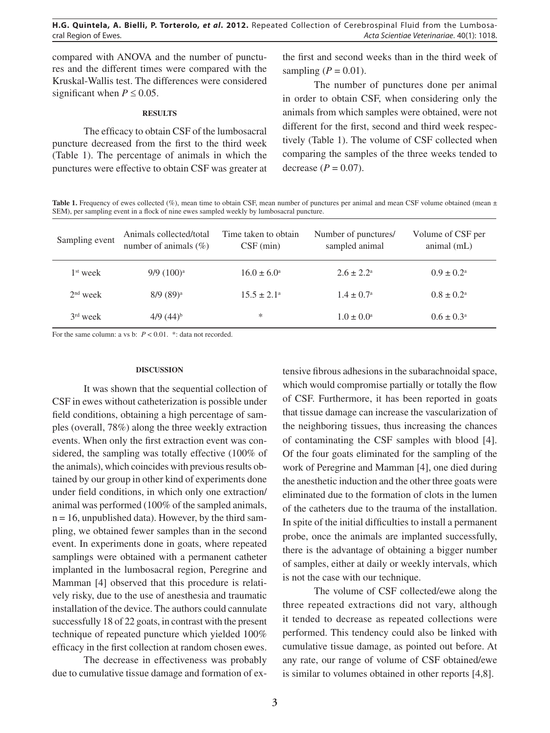compared with ANOVA and the number of punctures and the different times were compared with the Kruskal-Wallis test. The differences were considered significant when  $P \le 0.05$ .

#### **RESULTS**

The efficacy to obtain CSF of the lumbosacral puncture decreased from the first to the third week (Table 1). The percentage of animals in which the punctures were effective to obtain CSF was greater at the first and second weeks than in the third week of sampling  $(P = 0.01)$ .

The number of punctures done per animal in order to obtain CSF, when considering only the animals from which samples were obtained, were not different for the first, second and third week respectively (Table 1). The volume of CSF collected when comparing the samples of the three weeks tended to decrease  $(P = 0.07)$ .

Table 1. Frequency of ewes collected (%), mean time to obtain CSF, mean number of punctures per animal and mean CSF volume obtained (mean  $\pm$ SEM), per sampling event in a flock of nine ewes sampled weekly by lumbosacral puncture.

| Sampling event | Animals collected/total<br>number of animals $(\%)$ | Time taken to obtain<br>$CSF$ (min) | Number of punctures/<br>sampled animal | Volume of CSF per<br>animal (mL) |
|----------------|-----------------------------------------------------|-------------------------------------|----------------------------------------|----------------------------------|
| $1st$ week     | $9/9$ $(100)^a$                                     | $16.0 \pm 6.0^{\circ}$              | $2.6 \pm 2.2^{\circ}$                  | $0.9 \pm 0.2^{\text{a}}$         |
| $2nd$ week     | $8/9(89)^a$                                         | $15.5 \pm 2.1^{\circ}$              | $1.4 \pm 0.7^{\circ}$                  | $0.8 \pm 0.2^{\circ}$            |
| $3rd$ week     | $4/9$ $(44)^{b}$                                    | ∗                                   | $1.0 \pm 0.0^{\circ}$                  | $0.6 \pm 0.3^{\circ}$            |

For the same column: a vs b:  $P < 0.01$ . \*: data not recorded.

#### **DISCUSSION**

It was shown that the sequential collection of CSF in ewes without catheterization is possible under field conditions, obtaining a high percentage of samples (overall, 78%) along the three weekly extraction events. When only the first extraction event was considered, the sampling was totally effective (100% of the animals), which coincides with previous results obtained by our group in other kind of experiments done under field conditions, in which only one extraction/ animal was performed (100% of the sampled animals,  $n = 16$ , unpublished data). However, by the third sampling, we obtained fewer samples than in the second event. In experiments done in goats, where repeated samplings were obtained with a permanent catheter implanted in the lumbosacral region, Peregrine and Mamman [4] observed that this procedure is relatively risky, due to the use of anesthesia and traumatic installation of the device. The authors could cannulate successfully 18 of 22 goats, in contrast with the present technique of repeated puncture which yielded 100% efficacy in the first collection at random chosen ewes.

The decrease in effectiveness was probably due to cumulative tissue damage and formation of ex-

tensive fibrous adhesions in the subarachnoidal space, which would compromise partially or totally the flow of CSF. Furthermore, it has been reported in goats that tissue damage can increase the vascularization of the neighboring tissues, thus increasing the chances of contaminating the CSF samples with blood [4]. Of the four goats eliminated for the sampling of the work of Peregrine and Mamman [4], one died during the anesthetic induction and the other three goats were eliminated due to the formation of clots in the lumen of the catheters due to the trauma of the installation. In spite of the initial difficulties to install a permanent probe, once the animals are implanted successfully, there is the advantage of obtaining a bigger number of samples, either at daily or weekly intervals, which is not the case with our technique.

The volume of CSF collected/ewe along the three repeated extractions did not vary, although it tended to decrease as repeated collections were performed. This tendency could also be linked with cumulative tissue damage, as pointed out before. At any rate, our range of volume of CSF obtained/ewe is similar to volumes obtained in other reports [4,8].